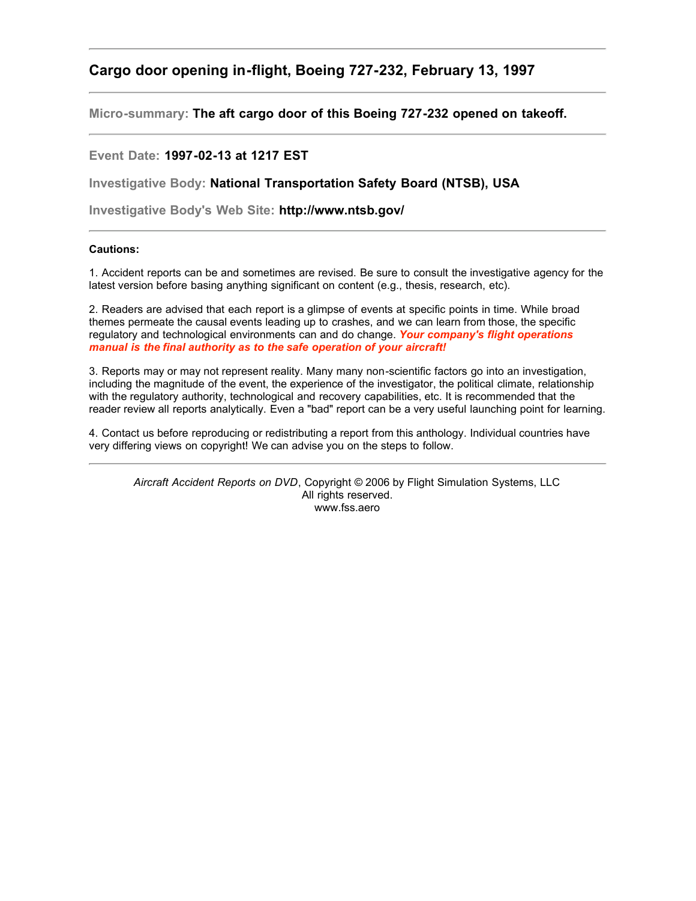## **Cargo door opening in-flight, Boeing 727-232, February 13, 1997**

**Micro-summary: The aft cargo door of this Boeing 727-232 opened on takeoff.**

## **Event Date: 1997-02-13 at 1217 EST**

**Investigative Body: National Transportation Safety Board (NTSB), USA**

**Investigative Body's Web Site: http://www.ntsb.gov/**

## **Cautions:**

1. Accident reports can be and sometimes are revised. Be sure to consult the investigative agency for the latest version before basing anything significant on content (e.g., thesis, research, etc).

2. Readers are advised that each report is a glimpse of events at specific points in time. While broad themes permeate the causal events leading up to crashes, and we can learn from those, the specific regulatory and technological environments can and do change. *Your company's flight operations manual is the final authority as to the safe operation of your aircraft!*

3. Reports may or may not represent reality. Many many non-scientific factors go into an investigation, including the magnitude of the event, the experience of the investigator, the political climate, relationship with the regulatory authority, technological and recovery capabilities, etc. It is recommended that the reader review all reports analytically. Even a "bad" report can be a very useful launching point for learning.

4. Contact us before reproducing or redistributing a report from this anthology. Individual countries have very differing views on copyright! We can advise you on the steps to follow.

*Aircraft Accident Reports on DVD*, Copyright © 2006 by Flight Simulation Systems, LLC All rights reserved. www.fss.aero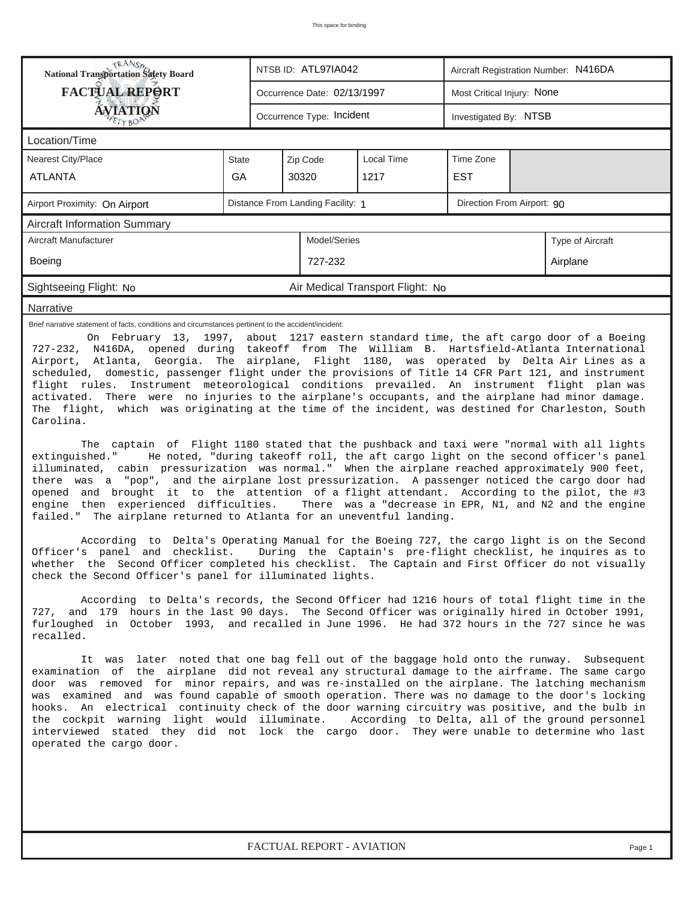| <b>NANSA</b><br>National Transportation Safety Board<br>NTSB ID: ATL97IA042<br>Aircraft Registration Number: N416DA                                                                                                                                                                                                                                                                                                                                                                                                                                                                                                                                                                                                                                                                                                                                                                                                                                                                                                                                                                                                                                                                                                                                                                                                                                                                                                                                                                                                                                                                                                                                                                                                                                                                                                                                                                                                                                                                                                                                                                                                                                 |                                                    |                                                           |  |                           |  |  |  |                                                                                                                                                   |  |  |  |
|-----------------------------------------------------------------------------------------------------------------------------------------------------------------------------------------------------------------------------------------------------------------------------------------------------------------------------------------------------------------------------------------------------------------------------------------------------------------------------------------------------------------------------------------------------------------------------------------------------------------------------------------------------------------------------------------------------------------------------------------------------------------------------------------------------------------------------------------------------------------------------------------------------------------------------------------------------------------------------------------------------------------------------------------------------------------------------------------------------------------------------------------------------------------------------------------------------------------------------------------------------------------------------------------------------------------------------------------------------------------------------------------------------------------------------------------------------------------------------------------------------------------------------------------------------------------------------------------------------------------------------------------------------------------------------------------------------------------------------------------------------------------------------------------------------------------------------------------------------------------------------------------------------------------------------------------------------------------------------------------------------------------------------------------------------------------------------------------------------------------------------------------------------|----------------------------------------------------|-----------------------------------------------------------|--|---------------------------|--|--|--|---------------------------------------------------------------------------------------------------------------------------------------------------|--|--|--|
| <b>FACTUAL REPORT</b>                                                                                                                                                                                                                                                                                                                                                                                                                                                                                                                                                                                                                                                                                                                                                                                                                                                                                                                                                                                                                                                                                                                                                                                                                                                                                                                                                                                                                                                                                                                                                                                                                                                                                                                                                                                                                                                                                                                                                                                                                                                                                                                               |                                                    | Most Critical Injury: None<br>Occurrence Date: 02/13/1997 |  |                           |  |  |  |                                                                                                                                                   |  |  |  |
| AVIATION                                                                                                                                                                                                                                                                                                                                                                                                                                                                                                                                                                                                                                                                                                                                                                                                                                                                                                                                                                                                                                                                                                                                                                                                                                                                                                                                                                                                                                                                                                                                                                                                                                                                                                                                                                                                                                                                                                                                                                                                                                                                                                                                            | Occurrence Type: Incident<br>Investigated By: NTSB |                                                           |  |                           |  |  |  |                                                                                                                                                   |  |  |  |
| Location/Time                                                                                                                                                                                                                                                                                                                                                                                                                                                                                                                                                                                                                                                                                                                                                                                                                                                                                                                                                                                                                                                                                                                                                                                                                                                                                                                                                                                                                                                                                                                                                                                                                                                                                                                                                                                                                                                                                                                                                                                                                                                                                                                                       |                                                    |                                                           |  |                           |  |  |  |                                                                                                                                                   |  |  |  |
| <b>Nearest City/Place</b>                                                                                                                                                                                                                                                                                                                                                                                                                                                                                                                                                                                                                                                                                                                                                                                                                                                                                                                                                                                                                                                                                                                                                                                                                                                                                                                                                                                                                                                                                                                                                                                                                                                                                                                                                                                                                                                                                                                                                                                                                                                                                                                           | <b>State</b>                                       | Time Zone<br>Zip Code<br>Local Time                       |  |                           |  |  |  |                                                                                                                                                   |  |  |  |
| <b>ATLANTA</b>                                                                                                                                                                                                                                                                                                                                                                                                                                                                                                                                                                                                                                                                                                                                                                                                                                                                                                                                                                                                                                                                                                                                                                                                                                                                                                                                                                                                                                                                                                                                                                                                                                                                                                                                                                                                                                                                                                                                                                                                                                                                                                                                      | GA                                                 | <b>EST</b><br>30320<br>1217                               |  |                           |  |  |  |                                                                                                                                                   |  |  |  |
| Distance From Landing Facility: 1<br>Direction From Airport: 90<br>Airport Proximity: On Airport                                                                                                                                                                                                                                                                                                                                                                                                                                                                                                                                                                                                                                                                                                                                                                                                                                                                                                                                                                                                                                                                                                                                                                                                                                                                                                                                                                                                                                                                                                                                                                                                                                                                                                                                                                                                                                                                                                                                                                                                                                                    |                                                    |                                                           |  |                           |  |  |  |                                                                                                                                                   |  |  |  |
| <b>Aircraft Information Summary</b>                                                                                                                                                                                                                                                                                                                                                                                                                                                                                                                                                                                                                                                                                                                                                                                                                                                                                                                                                                                                                                                                                                                                                                                                                                                                                                                                                                                                                                                                                                                                                                                                                                                                                                                                                                                                                                                                                                                                                                                                                                                                                                                 |                                                    |                                                           |  |                           |  |  |  |                                                                                                                                                   |  |  |  |
| Model/Series<br>Aircraft Manufacturer<br>Type of Aircraft                                                                                                                                                                                                                                                                                                                                                                                                                                                                                                                                                                                                                                                                                                                                                                                                                                                                                                                                                                                                                                                                                                                                                                                                                                                                                                                                                                                                                                                                                                                                                                                                                                                                                                                                                                                                                                                                                                                                                                                                                                                                                           |                                                    |                                                           |  |                           |  |  |  |                                                                                                                                                   |  |  |  |
| <b>Boeing</b><br>727-232<br>Airplane                                                                                                                                                                                                                                                                                                                                                                                                                                                                                                                                                                                                                                                                                                                                                                                                                                                                                                                                                                                                                                                                                                                                                                                                                                                                                                                                                                                                                                                                                                                                                                                                                                                                                                                                                                                                                                                                                                                                                                                                                                                                                                                |                                                    |                                                           |  |                           |  |  |  |                                                                                                                                                   |  |  |  |
| Sightseeing Flight: No                                                                                                                                                                                                                                                                                                                                                                                                                                                                                                                                                                                                                                                                                                                                                                                                                                                                                                                                                                                                                                                                                                                                                                                                                                                                                                                                                                                                                                                                                                                                                                                                                                                                                                                                                                                                                                                                                                                                                                                                                                                                                                                              | Air Medical Transport Flight: No                   |                                                           |  |                           |  |  |  |                                                                                                                                                   |  |  |  |
| Narrative                                                                                                                                                                                                                                                                                                                                                                                                                                                                                                                                                                                                                                                                                                                                                                                                                                                                                                                                                                                                                                                                                                                                                                                                                                                                                                                                                                                                                                                                                                                                                                                                                                                                                                                                                                                                                                                                                                                                                                                                                                                                                                                                           |                                                    |                                                           |  |                           |  |  |  |                                                                                                                                                   |  |  |  |
| Airport, Atlanta, Georgia. The airplane, Flight 1180, was operated by Delta Air Lines as a<br>scheduled, domestic, passenger flight under the provisions of Title 14 CFR Part 121, and instrument<br>flight rules. Instrument meteorological conditions prevailed. An instrument flight plan was<br>activated. There were no injuries to the airplane's occupants, and the airplane had minor damage.<br>The flight, which was originating at the time of the incident, was destined for Charleston, South<br>Carolina.<br>The captain of Flight 1180 stated that the pushback and taxi were "normal with all lights<br>extinguished."<br>illuminated, cabin pressurization was normal." When the airplane reached approximately 900 feet,<br>there was a "pop", and the airplane lost pressurization. A passenger noticed the cargo door had<br>opened and brought it to the attention of a flight attendant. According to the pilot, the #3<br>engine then experienced difficulties. There was a "decrease in EPR, N1, and N2 and the engine<br>failed." The airplane returned to Atlanta for an uneventful landing.<br>According to Delta's Operating Manual for the Boeing 727, the cargo light is on the Second<br>Officer's panel and checklist.<br>whether the Second Officer completed his checklist. The Captain and First Officer do not visually<br>check the Second Officer's panel for illuminated lights.<br>According to Delta's records, the Second Officer had 1216 hours of total flight time in the<br>727, and 179 hours in the last 90 days. The Second Officer was originally hired in October 1991,<br>furloughed in October 1993, and recalled in June 1996. He had 372 hours in the 727 since he was<br>recalled.<br>It was later noted that one bag fell out of the baggage hold onto the runway. Subsequent<br>examination of the airplane did not reveal any structural damage to the airframe. The same cargo<br>door was removed for minor repairs, and was re-installed on the airplane. The latching mechanism<br>was examined and was found capable of smooth operation. There was no damage to the door's locking |                                                    |                                                           |  |                           |  |  |  | He noted, "during takeoff roll, the aft cargo light on the second officer's panel<br>During the Captain's pre-flight checklist, he inquires as to |  |  |  |
| hooks.<br>An electrical continuity check of the door warning circuitry was positive, and the bulb in<br>the cockpit warning light would illuminate. According to Delta, all of the ground personnel<br>interviewed stated they did not lock the cargo door. They were unable to determine who last<br>operated the cargo door.                                                                                                                                                                                                                                                                                                                                                                                                                                                                                                                                                                                                                                                                                                                                                                                                                                                                                                                                                                                                                                                                                                                                                                                                                                                                                                                                                                                                                                                                                                                                                                                                                                                                                                                                                                                                                      |                                                    |                                                           |  |                           |  |  |  |                                                                                                                                                   |  |  |  |
|                                                                                                                                                                                                                                                                                                                                                                                                                                                                                                                                                                                                                                                                                                                                                                                                                                                                                                                                                                                                                                                                                                                                                                                                                                                                                                                                                                                                                                                                                                                                                                                                                                                                                                                                                                                                                                                                                                                                                                                                                                                                                                                                                     |                                                    |                                                           |  | FACTUAL REPORT - AVIATION |  |  |  | Page 1                                                                                                                                            |  |  |  |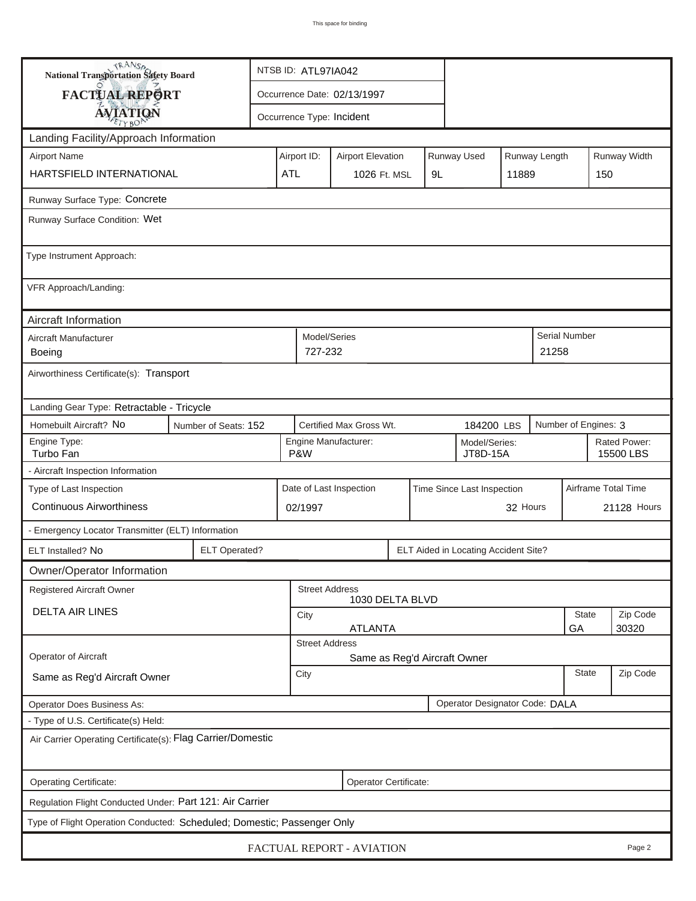| <b>National Transportation Safety Board</b>                                                                     |                                                              | NTSB ID: ATL97IA042          |                                          |               |                            |                           |                        |                     |             |  |  |
|-----------------------------------------------------------------------------------------------------------------|--------------------------------------------------------------|------------------------------|------------------------------------------|---------------|----------------------------|---------------------------|------------------------|---------------------|-------------|--|--|
| <b>FACTUAL REPORT</b>                                                                                           |                                                              | Occurrence Date: 02/13/1997  |                                          |               |                            |                           |                        |                     |             |  |  |
| <b>AVIATION</b>                                                                                                 |                                                              |                              | Occurrence Type: Incident                |               |                            |                           |                        |                     |             |  |  |
| Landing Facility/Approach Information                                                                           |                                                              |                              |                                          |               |                            |                           |                        |                     |             |  |  |
| <b>Airport Name</b>                                                                                             |                                                              | Airport ID:                  | <b>Airport Elevation</b>                 | Runway Length |                            | Runway Width              |                        |                     |             |  |  |
| HARTSFIELD INTERNATIONAL                                                                                        |                                                              | <b>ATL</b>                   | 1026 Ft. MSL                             | 9L            |                            | 11889                     |                        | 150                 |             |  |  |
| Runway Surface Type: Concrete                                                                                   |                                                              |                              |                                          |               |                            |                           |                        |                     |             |  |  |
| Runway Surface Condition: Wet                                                                                   |                                                              |                              |                                          |               |                            |                           |                        |                     |             |  |  |
| Type Instrument Approach:                                                                                       |                                                              |                              |                                          |               |                            |                           |                        |                     |             |  |  |
| VFR Approach/Landing:                                                                                           |                                                              |                              |                                          |               |                            |                           |                        |                     |             |  |  |
| Aircraft Information                                                                                            |                                                              |                              |                                          |               |                            |                           |                        |                     |             |  |  |
| Aircraft Manufacturer<br>Boeing                                                                                 |                                                              |                              | Model/Series<br>727-232                  |               |                            |                           | Serial Number<br>21258 |                     |             |  |  |
| Airworthiness Certificate(s): Transport                                                                         |                                                              |                              |                                          |               |                            |                           |                        |                     |             |  |  |
| Landing Gear Type: Retractable - Tricycle                                                                       |                                                              |                              |                                          |               |                            |                           |                        |                     |             |  |  |
| Homebuilt Aircraft? No<br>Certified Max Gross Wt.<br>Number of Engines: 3<br>Number of Seats: 152<br>184200 LBS |                                                              |                              |                                          |               |                            |                           |                        |                     |             |  |  |
| Engine Type:<br>Turbo Fan                                                                                       |                                                              | Model/Series:<br>JT8D-15A    |                                          |               |                            | Rated Power:<br>15500 LBS |                        |                     |             |  |  |
| - Aircraft Inspection Information                                                                               |                                                              |                              |                                          |               |                            |                           |                        |                     |             |  |  |
| Type of Last Inspection                                                                                         |                                                              |                              | Date of Last Inspection                  |               | Time Since Last Inspection |                           |                        | Airframe Total Time |             |  |  |
| <b>Continuous Airworthiness</b>                                                                                 |                                                              | 02/1997                      |                                          |               |                            | 32 Hours                  |                        |                     | 21128 Hours |  |  |
| - Emergency Locator Transmitter (ELT) Information                                                               |                                                              |                              |                                          |               |                            |                           |                        |                     |             |  |  |
| ELT Installed? No                                                                                               | <b>ELT Operated?</b><br>ELT Aided in Locating Accident Site? |                              |                                          |               |                            |                           |                        |                     |             |  |  |
| Owner/Operator Information                                                                                      |                                                              |                              |                                          |               |                            |                           |                        |                     |             |  |  |
| Registered Aircraft Owner                                                                                       |                                                              |                              | <b>Street Address</b><br>1030 DELTA BLVD |               |                            |                           |                        |                     |             |  |  |
| <b>DELTA AIR LINES</b>                                                                                          | City                                                         | State                        |                                          |               |                            |                           |                        |                     |             |  |  |
| <b>ATLANTA</b><br>GA<br><b>Street Address</b>                                                                   |                                                              |                              |                                          |               |                            |                           |                        | 30320               |             |  |  |
| Operator of Aircraft                                                                                            |                                                              | Same as Reg'd Aircraft Owner |                                          |               |                            |                           |                        |                     |             |  |  |
| Same as Reg'd Aircraft Owner                                                                                    | City                                                         |                              | <b>State</b>                             | Zip Code      |                            |                           |                        |                     |             |  |  |
| Operator Designator Code: DALA<br>Operator Does Business As:                                                    |                                                              |                              |                                          |               |                            |                           |                        |                     |             |  |  |
| - Type of U.S. Certificate(s) Held:                                                                             |                                                              |                              |                                          |               |                            |                           |                        |                     |             |  |  |
| Air Carrier Operating Certificate(s): Flag Carrier/Domestic                                                     |                                                              |                              |                                          |               |                            |                           |                        |                     |             |  |  |
| Operating Certificate:                                                                                          |                                                              |                              | Operator Certificate:                    |               |                            |                           |                        |                     |             |  |  |
| Regulation Flight Conducted Under: Part 121: Air Carrier                                                        |                                                              |                              |                                          |               |                            |                           |                        |                     |             |  |  |
| Type of Flight Operation Conducted: Scheduled; Domestic; Passenger Only                                         |                                                              |                              |                                          |               |                            |                           |                        |                     |             |  |  |
| FACTUAL REPORT - AVIATION<br>Page 2                                                                             |                                                              |                              |                                          |               |                            |                           |                        |                     |             |  |  |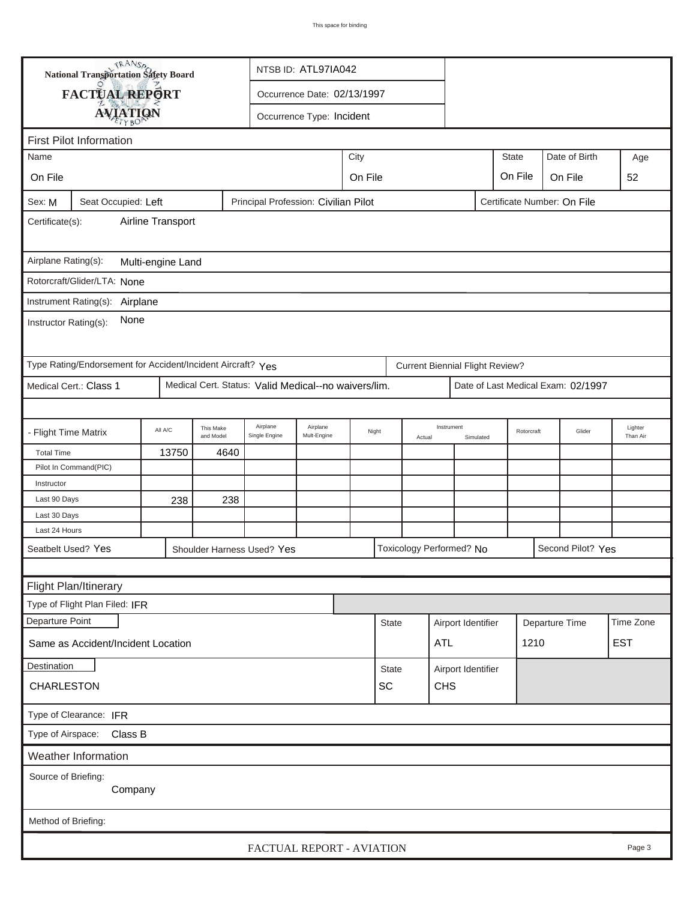| TRANSA<br>NTSB ID: ATL97IA042<br>National Transportation Safety Board   |                                                                                                                   |       |      |                                                      |       |         |        |            |                                        |            |         |                                    |                     |        |
|-------------------------------------------------------------------------|-------------------------------------------------------------------------------------------------------------------|-------|------|------------------------------------------------------|-------|---------|--------|------------|----------------------------------------|------------|---------|------------------------------------|---------------------|--------|
| FACTUAL REPORT<br>Occurrence Date: 02/13/1997                           |                                                                                                                   |       |      |                                                      |       |         |        |            |                                        |            |         |                                    |                     |        |
| <b>AVIATION</b><br>Occurrence Type: Incident                            |                                                                                                                   |       |      |                                                      |       |         |        |            |                                        |            |         |                                    |                     |        |
|                                                                         |                                                                                                                   |       |      |                                                      |       |         |        |            |                                        |            |         |                                    |                     |        |
| <b>First Pilot Information</b>                                          |                                                                                                                   |       |      |                                                      |       |         |        |            |                                        |            |         |                                    |                     |        |
| City<br><b>State</b><br>Date of Birth<br>Name                           |                                                                                                                   |       |      |                                                      |       |         |        |            |                                        |            | Age     |                                    |                     |        |
| On File                                                                 |                                                                                                                   |       |      |                                                      |       | On File |        |            |                                        |            | On File | On File                            |                     | 52     |
| Sex: M                                                                  | Seat Occupied: Left                                                                                               |       |      | Principal Profession: Civilian Pilot                 |       |         |        |            |                                        |            |         | Certificate Number: On File        |                     |        |
| Airline Transport<br>Certificate(s):                                    |                                                                                                                   |       |      |                                                      |       |         |        |            |                                        |            |         |                                    |                     |        |
| Airplane Rating(s):<br>Multi-engine Land                                |                                                                                                                   |       |      |                                                      |       |         |        |            |                                        |            |         |                                    |                     |        |
|                                                                         | Rotorcraft/Glider/LTA: None                                                                                       |       |      |                                                      |       |         |        |            |                                        |            |         |                                    |                     |        |
|                                                                         |                                                                                                                   |       |      |                                                      |       |         |        |            |                                        |            |         |                                    |                     |        |
| Instrument Rating(s):<br>Airplane<br>None<br>Instructor Rating(s):      |                                                                                                                   |       |      |                                                      |       |         |        |            |                                        |            |         |                                    |                     |        |
|                                                                         | Type Rating/Endorsement for Accident/Incident Aircraft? Yes                                                       |       |      |                                                      |       |         |        |            | <b>Current Biennial Flight Review?</b> |            |         |                                    |                     |        |
|                                                                         | Medical Cert.: Class 1                                                                                            |       |      | Medical Cert. Status: Valid Medical--no waivers/lim. |       |         |        |            |                                        |            |         | Date of Last Medical Exam: 02/1997 |                     |        |
|                                                                         |                                                                                                                   |       |      |                                                      |       |         |        |            |                                        |            |         |                                    |                     |        |
|                                                                         | Airplane<br>Airplane<br>This Make<br>All A/C<br>- Flight Time Matrix<br>Mult-Engine<br>and Model<br>Single Engine |       |      |                                                      | Night |         | Actual | Instrument | Simulated                              | Rotorcraft | Glider  |                                    | Lighter<br>Than Air |        |
| <b>Total Time</b>                                                       |                                                                                                                   | 13750 | 4640 |                                                      |       |         |        |            |                                        |            |         |                                    |                     |        |
|                                                                         | Pilot In Command(PIC)                                                                                             |       |      |                                                      |       |         |        |            |                                        |            |         |                                    |                     |        |
| Instructor                                                              |                                                                                                                   |       |      |                                                      |       |         |        |            |                                        |            |         |                                    |                     |        |
| Last 90 Days                                                            |                                                                                                                   | 238   | 238  |                                                      |       |         |        |            |                                        |            |         |                                    |                     |        |
| Last 30 Days                                                            |                                                                                                                   |       |      |                                                      |       |         |        |            |                                        |            |         |                                    |                     |        |
| Last 24 Hours                                                           |                                                                                                                   |       |      |                                                      |       |         |        |            |                                        |            |         |                                    |                     |        |
|                                                                         | Seatbelt Used? Yes                                                                                                |       |      | Shoulder Harness Used? Yes                           |       |         |        |            | Toxicology Performed? No               |            |         | Second Pilot? Yes                  |                     |        |
|                                                                         |                                                                                                                   |       |      |                                                      |       |         |        |            |                                        |            |         |                                    |                     |        |
|                                                                         | Flight Plan/Itinerary                                                                                             |       |      |                                                      |       |         |        |            |                                        |            |         |                                    |                     |        |
| Type of Flight Plan Filed: IFR                                          |                                                                                                                   |       |      |                                                      |       |         |        |            |                                        |            |         |                                    |                     |        |
| Departure Point<br>Airport Identifier<br><b>State</b><br>Departure Time |                                                                                                                   |       |      |                                                      |       |         |        |            | Time Zone                              |            |         |                                    |                     |        |
| <b>EST</b><br><b>ATL</b><br>1210<br>Same as Accident/Incident Location  |                                                                                                                   |       |      |                                                      |       |         |        |            |                                        |            |         |                                    |                     |        |
| Destination<br><b>State</b><br>Airport Identifier                       |                                                                                                                   |       |      |                                                      |       |         |        |            |                                        |            |         |                                    |                     |        |
| CHARLESTON<br>SC<br><b>CHS</b>                                          |                                                                                                                   |       |      |                                                      |       |         |        |            |                                        |            |         |                                    |                     |        |
| Type of Clearance: IFR                                                  |                                                                                                                   |       |      |                                                      |       |         |        |            |                                        |            |         |                                    |                     |        |
| Type of Airspace: Class B                                               |                                                                                                                   |       |      |                                                      |       |         |        |            |                                        |            |         |                                    |                     |        |
|                                                                         | Weather Information                                                                                               |       |      |                                                      |       |         |        |            |                                        |            |         |                                    |                     |        |
| Source of Briefing:                                                     | Company                                                                                                           |       |      |                                                      |       |         |        |            |                                        |            |         |                                    |                     |        |
| Method of Briefing:                                                     |                                                                                                                   |       |      |                                                      |       |         |        |            |                                        |            |         |                                    |                     |        |
|                                                                         |                                                                                                                   |       |      | FACTUAL REPORT - AVIATION                            |       |         |        |            |                                        |            |         |                                    |                     | Page 3 |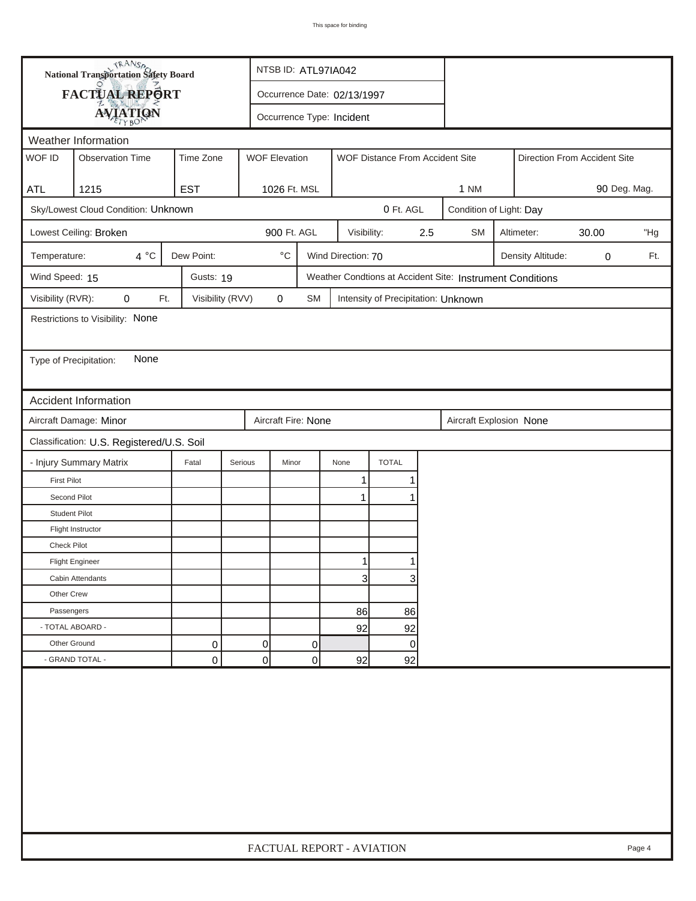| FACTUAL REPORT<br>Occurrence Date: 02/13/1997<br><b>AVIATION</b><br>Occurrence Type: Incident<br>Weather Information<br>WOF ID<br><b>WOF Elevation</b><br><b>Observation Time</b><br>Time Zone<br>WOF Distance From Accident Site<br>Direction From Accident Site<br>1215<br><b>EST</b><br>1026 Ft. MSL<br>1 NM<br>90 Deg. Mag.<br><b>ATL</b><br>Sky/Lowest Cloud Condition: Unknown<br>0 Ft. AGL<br>Condition of Light: Day<br>900 Ft. AGL<br>Lowest Ceiling: Broken<br>Visibility:<br>2.5<br><b>SM</b><br>Altimeter:<br>30.00<br>"Hg<br>$4^{\circ}C$<br>Dew Point:<br>$^{\circ} \text{C}$<br>Wind Direction: 70<br>Temperature:<br>Density Altitude:<br>Ft.<br>0<br>Wind Speed: 15<br>Gusts: 19<br>Weather Condtions at Accident Site: Instrument Conditions<br>Visibility (RVR):<br>Visibility (RVV)<br>$\pmb{0}$<br>0<br>Ft.<br>SM<br>Intensity of Precipitation: Unknown<br>Restrictions to Visibility: None<br>None<br>Type of Precipitation:<br><b>Accident Information</b><br>Aircraft Damage: Minor<br>Aircraft Fire: None<br>Aircraft Explosion None<br>Classification: U.S. Registered/U.S. Soil<br><b>TOTAL</b><br>- Injury Summary Matrix<br>Fatal<br>Serious<br>Minor<br>None<br><b>First Pilot</b><br>1<br>Second Pilot<br>$\mathbf 1$<br><b>Student Pilot</b><br>Flight Instructor<br><b>Check Pilot</b><br><b>Flight Engineer</b><br>$\mathbf{3}$<br>3<br>Cabin Attendants<br>Other Crew<br>Passengers<br>86<br>86<br>- TOTAL ABOARD -<br>92<br>92<br>Other Ground<br>0<br>0<br>0<br>0 |  | <b>National Transportation Safety Board</b> |  | NTSB ID: ATL97IA042       |  |  |  |  |  |  |  |  |        |
|---------------------------------------------------------------------------------------------------------------------------------------------------------------------------------------------------------------------------------------------------------------------------------------------------------------------------------------------------------------------------------------------------------------------------------------------------------------------------------------------------------------------------------------------------------------------------------------------------------------------------------------------------------------------------------------------------------------------------------------------------------------------------------------------------------------------------------------------------------------------------------------------------------------------------------------------------------------------------------------------------------------------------------------------------------------------------------------------------------------------------------------------------------------------------------------------------------------------------------------------------------------------------------------------------------------------------------------------------------------------------------------------------------------------------------------------------------------------------------------------------------|--|---------------------------------------------|--|---------------------------|--|--|--|--|--|--|--|--|--------|
|                                                                                                                                                                                                                                                                                                                                                                                                                                                                                                                                                                                                                                                                                                                                                                                                                                                                                                                                                                                                                                                                                                                                                                                                                                                                                                                                                                                                                                                                                                         |  |                                             |  |                           |  |  |  |  |  |  |  |  |        |
|                                                                                                                                                                                                                                                                                                                                                                                                                                                                                                                                                                                                                                                                                                                                                                                                                                                                                                                                                                                                                                                                                                                                                                                                                                                                                                                                                                                                                                                                                                         |  |                                             |  |                           |  |  |  |  |  |  |  |  |        |
|                                                                                                                                                                                                                                                                                                                                                                                                                                                                                                                                                                                                                                                                                                                                                                                                                                                                                                                                                                                                                                                                                                                                                                                                                                                                                                                                                                                                                                                                                                         |  |                                             |  |                           |  |  |  |  |  |  |  |  |        |
|                                                                                                                                                                                                                                                                                                                                                                                                                                                                                                                                                                                                                                                                                                                                                                                                                                                                                                                                                                                                                                                                                                                                                                                                                                                                                                                                                                                                                                                                                                         |  |                                             |  |                           |  |  |  |  |  |  |  |  |        |
|                                                                                                                                                                                                                                                                                                                                                                                                                                                                                                                                                                                                                                                                                                                                                                                                                                                                                                                                                                                                                                                                                                                                                                                                                                                                                                                                                                                                                                                                                                         |  |                                             |  |                           |  |  |  |  |  |  |  |  |        |
|                                                                                                                                                                                                                                                                                                                                                                                                                                                                                                                                                                                                                                                                                                                                                                                                                                                                                                                                                                                                                                                                                                                                                                                                                                                                                                                                                                                                                                                                                                         |  |                                             |  |                           |  |  |  |  |  |  |  |  |        |
|                                                                                                                                                                                                                                                                                                                                                                                                                                                                                                                                                                                                                                                                                                                                                                                                                                                                                                                                                                                                                                                                                                                                                                                                                                                                                                                                                                                                                                                                                                         |  |                                             |  |                           |  |  |  |  |  |  |  |  |        |
|                                                                                                                                                                                                                                                                                                                                                                                                                                                                                                                                                                                                                                                                                                                                                                                                                                                                                                                                                                                                                                                                                                                                                                                                                                                                                                                                                                                                                                                                                                         |  |                                             |  |                           |  |  |  |  |  |  |  |  |        |
|                                                                                                                                                                                                                                                                                                                                                                                                                                                                                                                                                                                                                                                                                                                                                                                                                                                                                                                                                                                                                                                                                                                                                                                                                                                                                                                                                                                                                                                                                                         |  |                                             |  |                           |  |  |  |  |  |  |  |  |        |
|                                                                                                                                                                                                                                                                                                                                                                                                                                                                                                                                                                                                                                                                                                                                                                                                                                                                                                                                                                                                                                                                                                                                                                                                                                                                                                                                                                                                                                                                                                         |  |                                             |  |                           |  |  |  |  |  |  |  |  |        |
|                                                                                                                                                                                                                                                                                                                                                                                                                                                                                                                                                                                                                                                                                                                                                                                                                                                                                                                                                                                                                                                                                                                                                                                                                                                                                                                                                                                                                                                                                                         |  |                                             |  |                           |  |  |  |  |  |  |  |  |        |
|                                                                                                                                                                                                                                                                                                                                                                                                                                                                                                                                                                                                                                                                                                                                                                                                                                                                                                                                                                                                                                                                                                                                                                                                                                                                                                                                                                                                                                                                                                         |  |                                             |  |                           |  |  |  |  |  |  |  |  |        |
|                                                                                                                                                                                                                                                                                                                                                                                                                                                                                                                                                                                                                                                                                                                                                                                                                                                                                                                                                                                                                                                                                                                                                                                                                                                                                                                                                                                                                                                                                                         |  |                                             |  |                           |  |  |  |  |  |  |  |  |        |
|                                                                                                                                                                                                                                                                                                                                                                                                                                                                                                                                                                                                                                                                                                                                                                                                                                                                                                                                                                                                                                                                                                                                                                                                                                                                                                                                                                                                                                                                                                         |  |                                             |  |                           |  |  |  |  |  |  |  |  |        |
|                                                                                                                                                                                                                                                                                                                                                                                                                                                                                                                                                                                                                                                                                                                                                                                                                                                                                                                                                                                                                                                                                                                                                                                                                                                                                                                                                                                                                                                                                                         |  |                                             |  |                           |  |  |  |  |  |  |  |  |        |
|                                                                                                                                                                                                                                                                                                                                                                                                                                                                                                                                                                                                                                                                                                                                                                                                                                                                                                                                                                                                                                                                                                                                                                                                                                                                                                                                                                                                                                                                                                         |  |                                             |  |                           |  |  |  |  |  |  |  |  |        |
|                                                                                                                                                                                                                                                                                                                                                                                                                                                                                                                                                                                                                                                                                                                                                                                                                                                                                                                                                                                                                                                                                                                                                                                                                                                                                                                                                                                                                                                                                                         |  |                                             |  |                           |  |  |  |  |  |  |  |  |        |
|                                                                                                                                                                                                                                                                                                                                                                                                                                                                                                                                                                                                                                                                                                                                                                                                                                                                                                                                                                                                                                                                                                                                                                                                                                                                                                                                                                                                                                                                                                         |  |                                             |  |                           |  |  |  |  |  |  |  |  |        |
|                                                                                                                                                                                                                                                                                                                                                                                                                                                                                                                                                                                                                                                                                                                                                                                                                                                                                                                                                                                                                                                                                                                                                                                                                                                                                                                                                                                                                                                                                                         |  |                                             |  |                           |  |  |  |  |  |  |  |  |        |
|                                                                                                                                                                                                                                                                                                                                                                                                                                                                                                                                                                                                                                                                                                                                                                                                                                                                                                                                                                                                                                                                                                                                                                                                                                                                                                                                                                                                                                                                                                         |  |                                             |  |                           |  |  |  |  |  |  |  |  |        |
|                                                                                                                                                                                                                                                                                                                                                                                                                                                                                                                                                                                                                                                                                                                                                                                                                                                                                                                                                                                                                                                                                                                                                                                                                                                                                                                                                                                                                                                                                                         |  |                                             |  |                           |  |  |  |  |  |  |  |  |        |
|                                                                                                                                                                                                                                                                                                                                                                                                                                                                                                                                                                                                                                                                                                                                                                                                                                                                                                                                                                                                                                                                                                                                                                                                                                                                                                                                                                                                                                                                                                         |  |                                             |  |                           |  |  |  |  |  |  |  |  |        |
|                                                                                                                                                                                                                                                                                                                                                                                                                                                                                                                                                                                                                                                                                                                                                                                                                                                                                                                                                                                                                                                                                                                                                                                                                                                                                                                                                                                                                                                                                                         |  |                                             |  |                           |  |  |  |  |  |  |  |  |        |
|                                                                                                                                                                                                                                                                                                                                                                                                                                                                                                                                                                                                                                                                                                                                                                                                                                                                                                                                                                                                                                                                                                                                                                                                                                                                                                                                                                                                                                                                                                         |  |                                             |  |                           |  |  |  |  |  |  |  |  |        |
|                                                                                                                                                                                                                                                                                                                                                                                                                                                                                                                                                                                                                                                                                                                                                                                                                                                                                                                                                                                                                                                                                                                                                                                                                                                                                                                                                                                                                                                                                                         |  |                                             |  |                           |  |  |  |  |  |  |  |  |        |
|                                                                                                                                                                                                                                                                                                                                                                                                                                                                                                                                                                                                                                                                                                                                                                                                                                                                                                                                                                                                                                                                                                                                                                                                                                                                                                                                                                                                                                                                                                         |  |                                             |  |                           |  |  |  |  |  |  |  |  |        |
|                                                                                                                                                                                                                                                                                                                                                                                                                                                                                                                                                                                                                                                                                                                                                                                                                                                                                                                                                                                                                                                                                                                                                                                                                                                                                                                                                                                                                                                                                                         |  |                                             |  |                           |  |  |  |  |  |  |  |  |        |
|                                                                                                                                                                                                                                                                                                                                                                                                                                                                                                                                                                                                                                                                                                                                                                                                                                                                                                                                                                                                                                                                                                                                                                                                                                                                                                                                                                                                                                                                                                         |  |                                             |  |                           |  |  |  |  |  |  |  |  |        |
|                                                                                                                                                                                                                                                                                                                                                                                                                                                                                                                                                                                                                                                                                                                                                                                                                                                                                                                                                                                                                                                                                                                                                                                                                                                                                                                                                                                                                                                                                                         |  |                                             |  |                           |  |  |  |  |  |  |  |  |        |
|                                                                                                                                                                                                                                                                                                                                                                                                                                                                                                                                                                                                                                                                                                                                                                                                                                                                                                                                                                                                                                                                                                                                                                                                                                                                                                                                                                                                                                                                                                         |  |                                             |  |                           |  |  |  |  |  |  |  |  |        |
| - GRAND TOTAL -<br>$\overline{0}$<br>0<br>0<br>92<br>92                                                                                                                                                                                                                                                                                                                                                                                                                                                                                                                                                                                                                                                                                                                                                                                                                                                                                                                                                                                                                                                                                                                                                                                                                                                                                                                                                                                                                                                 |  |                                             |  |                           |  |  |  |  |  |  |  |  |        |
|                                                                                                                                                                                                                                                                                                                                                                                                                                                                                                                                                                                                                                                                                                                                                                                                                                                                                                                                                                                                                                                                                                                                                                                                                                                                                                                                                                                                                                                                                                         |  |                                             |  | FACTUAL REPORT - AVIATION |  |  |  |  |  |  |  |  | Page 4 |